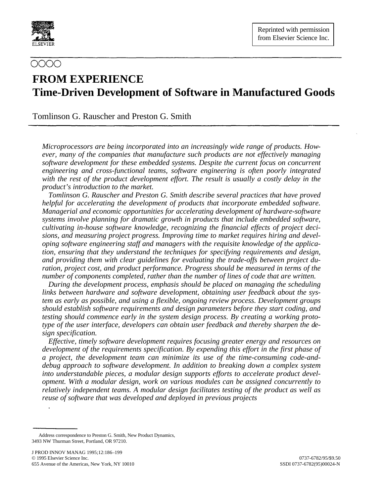

# OOOO

# **FROM EXPERIENCE Time-Driven Development of Software in Manufactured Goods**

Tomlinson G. Rauscher and Preston G. Smith

*Microprocessors are being incorporated into an increasingly wide range of products. However, many of the companies that manufacture such products are not effectively managing software development for these embedded systems. Despite the current focus on concurrent engineering and cross-functional teams, software engineering is often poorly integrated with the rest of the product development effort. The result is usually a costly delay in the product's introduction to the market.*

*Tomlinson G. Rauscher and Preston G. Smith describe several practices that have proved helpful for accelerating the development of products that incorporate embedded software. Managerial and economic opportunities for accelerating development of hardware-software systems involve planning for dramatic growth in products that include embedded software, cultivating in-house software knowledge, recognizing the financial effects of project decisions, and measuring project progress. Improving time to market requires hiring and developing software engineering staff and managers with the requisite knowledge of the application, ensuring that they understand the techniques for specifying requirements and design, and providing them with clear guidelines for evaluating the trade-offs between project duration, project cost, and product performance. Progress should be measured in terms of the number of components completed, rather than the number of lines of code that are written.*

*During the development process, emphasis should be placed on managing the scheduling links between hardware and software development, obtaining user feedback about the system as early as possible, and using a flexible, ongoing review process. Development groups should establish software requirements and design parameters before they start coding, and testing should commence early in the system design process. By creating a working prototype of the user interface, developers can obtain user feedback and thereby sharpen the design specification.*

*Effective, timely software development requires focusing greater energy and resources on development of the requirements specification. By expending this effort in the first phase of a project, the development team can minimize its use of the time-consuming code-anddebug approach to software development. In addition to breaking down a complex system into understandable pieces, a modular design supports efforts to accelerate product development. With a modular design, work on various modules can be assigned concurrently to relatively independent teams. A modular design facilitates testing of the product as well as reuse of software that was developed and deployed in previous projects*

*.*

Address correspondence to Preston G. Smith, New Product Dynamics, 3493 NW Thurman Street, Portland, OR 97210.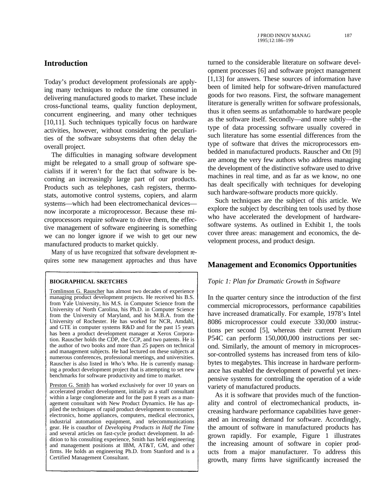## **Introduction**

Today's product development professionals are applying many techniques to reduce the time consumed in delivering manufactured goods to market. These include cross-functional teams, quality function deployment, concurrent engineering, and many other techniques [10,11]. Such techniques typically focus on hardware activities, however, without considering the peculiarities of the software subsystems that often delay the overall project.

The difficulties in managing software development might be relegated to a small group of software specialists if it weren't for the fact that software is becoming an increasingly large part of our products. Products such as telephones, cash registers, thermostats, automotive control systems, copiers, and alarm systems—which had been electromechanical devices now incorporate a microprocessor. Because these microprocessors require software to drive them, the effective management of software engineering is something we can no longer ignore if we wish to get our new manufactured products to market quickly.

Many of us have recognized that software development requires some new management approaches and thus have

#### **BIOGRAPHICAL SKETCHES**

Tomlinson G. Rauscher has almost two decades of experience managing product development projects. He received his B.S. from Yale University, his M.S. in Computer Science from the University of North Carolina, his Ph.D. in Computer Science from the University of Maryland, and his M.B.A. from the University of Rochester. He has worked for NCR, Amdahl, and GTE in computer systems R&D and for the past 15 years has been a product development manager at Xerox Corporation. Rauscher holds the CDP, the CCP, and two patents. He is the author of two books and more than 25 papers on technical and management subjects. He had lectured on these subjects at numerous conferences, professional meetings, and universities. Rauscher is also listed in *Who's Who*. He is currently managing a product development project that is attempting to set new benchmarks for software productivity and time to market.

Preston G. Smith has worked exclusively for over 10 years on accelerated product development, initially as a staff consultant within a large conglomerate and for the past 8 years as a management consultant with New Product Dynamics. He has applied the techniques of rapid product development to consumer electronics, home appliances, computers, medical electronics, industrial automation equipment, and telecommunications gear. He is coauthor of *Developing Products in Half the Time* and several articles on fast-cycle product development. In addition to his consulting experience, Smith has held engineering and management positions at IBM, AT&T, GM, and other firms. He holds an engineering Ph.D. from Stanford and is a Certified Management Consultant.

turned to the considerable literature on software development processes [6] and software project management [1,13] for answers. These sources of information have been of limited help for software-driven manufactured goods for two reasons. First, the software management literature is generally written for software professionals, thus it often seems as unfathomable to hardware people as the software itself. Secondly—and more subtly—the type of data processing software usually covered in such literature has some essential differences from the type of software that drives the microprocessors embedded in manufactured products. Rauscher and Ott [9] are among the very few authors who address managing the development of the distinctive software used to drive machines in real time, and as far as we know, no one has dealt specifically with techniques for developing such hardware-software products more quickly.

Such techniques are the subject of this article. We explore the subject by describing ten tools used by those who have accelerated the development of hardwaresoftware systems. As outlined in Exhibit 1, the tools cover three areas: management and economics, the development process, and product design.

## **Management and Economics Opportunities**

### *Topic 1: Plan for Dramatic Growth in Software*

In the quarter century since the introduction of the first commercial microprocessors, performance capabilities have increased dramatically. For example, 1978's Intel 8086 microprocessor could execute 330,000 instructions per second [5], whereas their current Pentium P54C can perform 150,000,000 instructions per second. Similarly, the amount of memory in microprocessor-controlled systems has increased from tens of kilobytes to megabytes. This increase in hardware performance has enabled the development of powerful yet inexpensive systems for controlling the operation of a wide variety of manufactured products.

As it is software that provides much of the functionality and control of electromechanical products, increasing hardware performance capabilities have generated an increasing demand for software. Accordingly, the amount of software in manufactured products has grown rapidly. For example, Figure 1 illustrates the increasing amount of software in copier products from a major manufacturer. To address this growth, many firms have significantly increased the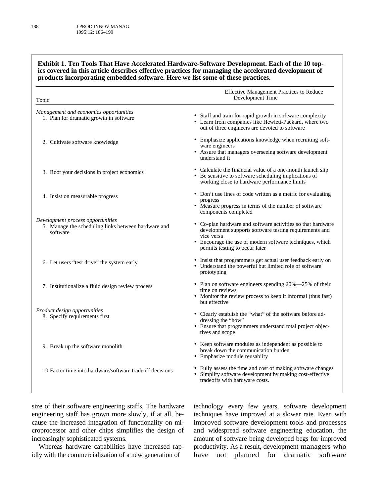| Topic                                                                                                | <b>Effective Management Practices to Reduce</b><br>Development Time                                                                                                                                                               |
|------------------------------------------------------------------------------------------------------|-----------------------------------------------------------------------------------------------------------------------------------------------------------------------------------------------------------------------------------|
| Management and economics opportunities<br>1. Plan for dramatic growth in software                    | • Staff and train for rapid growth in software complexity<br>• Learn from companies like Hewlett-Packard, where two<br>out of three engineers are devoted to software                                                             |
| 2. Cultivate software knowledge                                                                      | • Emphasize applications knowledge when recruiting soft-<br>ware engineers<br>• Assure that managers overseeing software development<br>understand it                                                                             |
| 3. Root your decisions in project economics                                                          | • Calculate the financial value of a one-month launch slip<br>• Be sensitive to software scheduling implications of<br>working close to hardware performance limits                                                               |
| 4. Insist on measurable progress                                                                     | • Don't use lines of code written as a metric for evaluating<br>progress<br>• Measure progress in terms of the number of software<br>components completed                                                                         |
| Development process opportunities<br>5. Manage the scheduling links between hardware and<br>software | • Co-plan hardware and software activities so that hardware<br>development supports software testing requirements and<br>vice versa<br>• Encourage the use of modern software techniques, which<br>permits testing to occur later |
| 6. Let users "test drive" the system early                                                           | • Insist that programmers get actual user feedback early on<br>• Understand the powerful but limited role of software<br>prototyping                                                                                              |
| 7. Institutionalize a fluid design review process                                                    | • Plan on software engineers spending $20\% - 25\%$ of their<br>time on reviews<br>• Monitor the review process to keep it informal (thus fast)<br>but effective                                                                  |
| Product design opportunities<br>8. Specify requirements first                                        | • Clearly establish the "what" of the software before ad-<br>dressing the "how"<br>• Ensure that programmers understand total project objection-<br>tives and scope                                                               |
| 9. Break up the software monolith                                                                    | • Keep software modules as independent as possible to<br>break down the communication burden<br>• Emphasize module reusabiity                                                                                                     |
| 10. Factor time into hardware/software tradeoff decisions                                            | • Fully assess the time and cost of making software changes<br>• Simplify software development by making cost-effective<br>tradeoffs with hardware costs.                                                                         |

size of their software engineering staffs. The hardware engineering staff has grown more slowly, if at all, because the increased integration of functionality on microprocessor and other chips simplifies the design of increasingly sophisticated systems.

Whereas hardware capabilities have increased rapidly with the commercialization of a new generation of

technology every few years, software development techniques have improved at a slower rate. Even with improved software development tools and processes and widespread software engineering education, the amount of software being developed begs for improved productivity. As a result, development managers who have not planned for dramatic software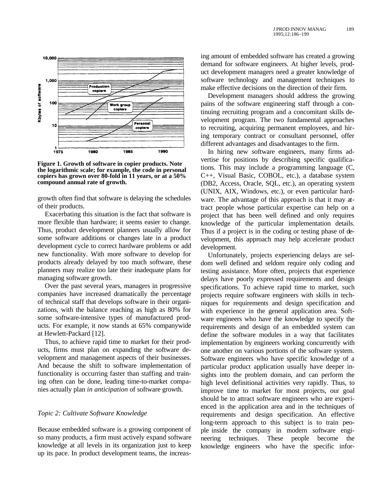

**Figure 1. Growth of software in copier products. Note the logarithmic scale; for example, the code in personal copiers has grown over 80-fold in 11 years, or at a 50% compound annual rate of growth.**

growth often find that software is delaying the schedules of their products.

Exacerbating this situation is the fact that software is more flexible than hardware; it seems easier to change. Thus, product development planners usually allow for some software additions or changes late in a product development cycle to correct hardware problems or add new functionality. With more software to develop for products already delayed by too much software, these planners may realize too late their inadequate plans for managing software growth.

Over the past several years, managers in progressive companies have increased dramatically the percentage of technical staff that develops software in their organizations, with the balance reaching as high as 80% for some software-intensive types of manufactured products. For example, it now stands at 65% companywide at Hewlett-Packard [12].

Thus, to achieve rapid time to market for their products, firms must plan on expanding the software development and management aspects of their businesses. And because the shift to software implementation of functionality is occurring faster than staffing and training often can be done, leading time-to-market companies actually plan *in anticipation* of software growth.

#### *Topic 2: Cultivate Software Knowledge*

Because embedded software is a growing component of so many products, a firm must actively expand software knowledge at all levels in its organization just to keep up its pace. In product development teams, the increas-

ing amount of embedded software has created a growing demand for software engineers. At higher levels, product development managers need a greater knowledge of software technology and management techniques to make effective decisions on the direction of their firm.

Development managers should address the growing pains of the software engineering staff through a continuing recruiting program and a concomitant skills development program. The two fundamental approaches to recruiting, acquiring permanent employees, and hiring temporary contract or consultant personnel, offer different advantages and disadvantages to the firm.

In hiring new software engineers, many firms advertise for positions by describing specific qualifications. This may include a programming language (C, C++*,* Visual Basic, COBOL, etc.), a database system (DB2, Access, Oracle, SQL, etc.), an operating system (UNIX, AIX, Windows, etc.), or even particular hardware. The advantage of this approach is that it may attract people whose particular expertise can help on a project that has been well defined and only requires knowledge of the particular implementation details. Thus if a project is in the coding or testing phase of development, this approach may help accelerate product development.

Unfortunately, projects experiencing delays are seldom well defined and seldom require only coding and testing assistance. More often, projects that experience delays have poorly expressed requirements and design specifications. To achieve rapid time to market, such projects require software engineers with skills in techniques for requirements and design specification and with experience in the general application area. Software engineers who have the knowledge to specify the requirements and design of an embedded system can define the software modules in a way that facilitates implementation by engineers working concurrently with one another on various portions of the software system. Software engineers who have specific knowledge of a particular product application usually have deeper insights into the problem domain, and can perform the high level definitional activities very rapidly. Thus, to improve time to market for most projects, our goal should be to attract software engineers who are experienced in the application area and in the techniques of requirements and design specification. An effective long-term approach to this subject is to train people inside the company in modern software engineering techniques. These people become the knowledge engineers who have the specific infor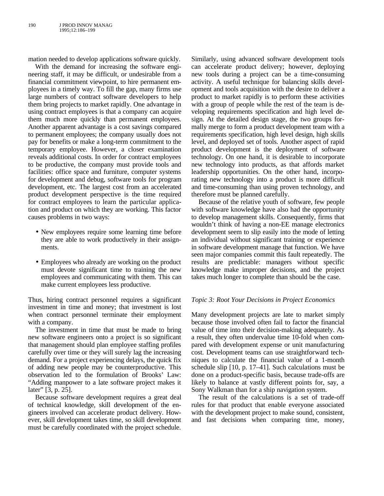mation needed to develop applications software quickly.

With the demand for increasing the software engineering staff, it may be difficult, or undesirable from a financial commitment viewpoint, to hire permanent employees in a timely way. To fill the gap, many firms use large numbers of contract software developers to help them bring projects to market rapidly. One advantage in using contract employees is that a company can acquire them much more quickly than permanent employees. Another apparent advantage is a cost savings compared to permanent employees; the company usually does not pay for benefits or make a long-term commitment to the temporary employee. However, a closer examination reveals additional costs. In order for contract employees to be productive, the company must provide tools and facilities: office space and furniture, computer systems for development and debug, software tools for program development, etc. The largest cost from an accelerated product development perspective is the time required for contract employees to learn the particular application and product on which they are working. This factor causes problems in two ways:

- New employees require some learning time before they are able to work productively in their assignments.
- Employees who already are working on the product must devote significant time to training the new employees and communicating with them. This can make current employees less productive.

Thus, hiring contract personnel requires a significant investment in time and money; that investment is lost when contract personnel terminate their employment with a company.

The investment in time that must be made to bring new software engineers onto a project is so significant that management should plan employee staffing profiles carefully over time or they will surely lag the increasing demand. For a project experiencing delays, the quick fix of adding new people may be counterproductive. This observation led to the formulation of Brooks' Law: "Adding manpower to a late software project makes it later" [3, p. 25].

Because software development requires a great deal of technical knowledge, skill development of the engineers involved can accelerate product delivery. However, skill development takes time, so skill development must be carefully coordinated with the project schedule. Similarly, using advanced software development tools can accelerate product delivery; however, deploying new tools during a project can be a time-consuming activity. A useful technique for balancing skills development and tools acquisition with the desire to deliver a product to market rapidly is to perform these activities with a group of people while the rest of the team is developing requirements specification and high level design. At the detailed design stage, the two groups formally merge to form a product development team with a requirements specification, high level design, high skills level, and deployed set of tools. Another aspect of rapid product development is the deployment of software technology. On one hand, it is desirable to incorporate new technology into products, as that affords market leadership opportunities. On the other hand, incorporating new technology into a product is more difficult and time-consuming than using proven technology, and therefore must be planned carefully.

Because of the relative youth of software, few people with software knowledge have also had the opportunity to develop management skills. Consequently, firms that wouldn't think of having a non-EE manage electronics development seem to slip easily into the mode of letting an individual without significant training or experience in software development manage that function. We have seen major companies commit this fault repeatedly. The results are predictable: managers without specific knowledge make improper decisions, and the project takes much longer to complete than should be the case.

#### *Topic 3: Root Your Decisions in Project Economics*

Many development projects are late to market simply because those involved often fail to factor the financial value of time into their decision-making adequately. As a result, they often undervalue time 10-fold when compared with development expense or unit manufacturing cost. Development teams can use straightforward techniques to calculate the financial value of a 1-month schedule slip [10, p. 17–41]. Such calculations must be done on a product-specific basis, because trade-offs are likely to balance at vastly different points for, say, a Sony Walkman than for a ship navigation system.

The result of the calculations is a set of trade-off rules for that product that enable everyone associated with the development project to make sound, consistent, and fast decisions when comparing time, money,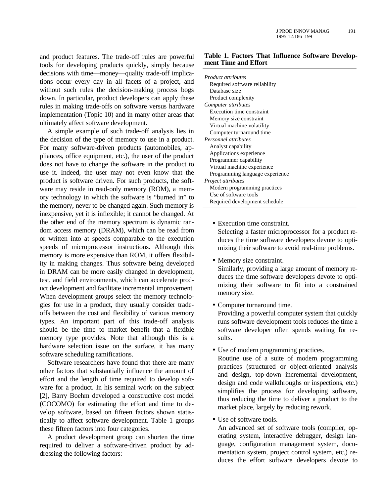and product features. The trade-off rules are powerful tools for developing products quickly, simply because decisions with time—money—quality trade-off implications occur every day in all facets of a project, and without such rules the decision-making process bogs down. In particular, product developers can apply these rules in making trade-offs on software versus hardware implementation (Topic 10) and in many other areas that ultimately affect software development.

A simple example of such trade-off analysis lies in the decision of the type of memory to use in a product. For many software-driven products (automobiles, appliances, office equipment, etc.), the user of the product does not have to change the software in the product to use it. Indeed, the user may not even know that the product is software driven. For such products, the software may reside in read-only memory (ROM), a memory technology in which the software is "burned in" to the memory, never to be changed again. Such memory is inexpensive, yet it is inflexible; it cannot be changed. At the other end of the memory spectrum is dynamic random access memory (DRAM), which can be read from or written into at speeds comparable to the execution speeds of microprocessor instructions. Although this memory is more expensive than ROM, it offers flexibility in making changes. Thus software being developed in DRAM can be more easily changed in development, test, and field environments, which can accelerate product development and facilitate incremental improvement. When development groups select the memory technologies for use in a product, they usually consider tradeoffs between the cost and flexibility of various memory types. An important part of this trade-off analysis should be the time to market benefit that a flexible memory type provides. Note that although this is a hardware selection issue on the surface, it has many software scheduling ramifications.

Software researchers have found that there are many other factors that substantially influence the amount of effort and the length of time required to develop software for a product. In his seminal work on the subject [2], Barry Boehm developed a constructive cost model (COCOMO) for estimating the effort and time to develop software, based on fifteen factors shown statistically to affect software development. Table 1 groups these fifteen factors into four categories.

A product development group can shorten the time required to deliver a software-driven product by addressing the following factors:

### **Table 1. Factors That Influence Software Development Time and Effort**

| <b>Product attributes</b>       |
|---------------------------------|
| Required software reliability   |
| Database size                   |
| Product complexity              |
| Computer attributes             |
| Execution time constraint       |
| Memory size constraint          |
| Virtual machine volatility      |
| Computer turnaround time        |
| Personnel attributes            |
| Analyst capability              |
| Applications experience         |
| Programmer capability           |
| Virtual machine experience      |
| Programming language experience |
| <i>Project attributes</i>       |
| Modern programming practices    |
| Use of software tools           |
| Required development schedule   |
|                                 |

- Execution time constraint. Selecting a faster microprocessor for a product reduces the time software developers devote to optimizing their software to avoid real-time problems.
- Memory size constraint.

Similarly, providing a large amount of memory reduces the time software developers devote to optimizing their software to fit into a constrained memory size.

• Computer turnaround time.

Providing a powerful computer system that quickly runs software development tools reduces the time a software developer often spends waiting for results.

• Use of modern programming practices.

Routine use of a suite of modern programming practices (structured or object-oriented analysis and design, top-down incremental development, design and code walkthroughs or inspections, etc.) simplifies the process for developing software, thus reducing the time to deliver a product to the market place, largely by reducing rework.

• Use of software tools.

An advanced set of software tools (compiler, operating system, interactive debugger, design language, configuration management system, documentation system, project control system, etc.) reduces the effort software developers devote to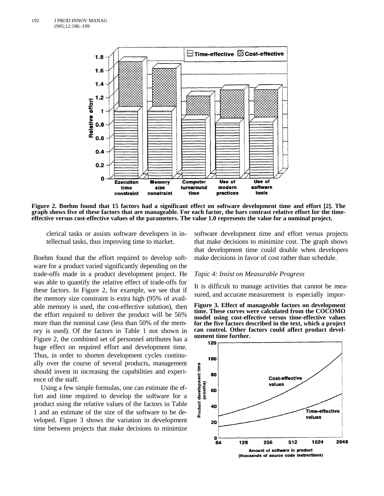

**Figure 2. Boehm found that 15 factors had a significant effect on software development time and effort [2]. The graph shows five of these factors that are manageable. For each factor, the bars contrast relative effort for the timeeffective versus cost-effective values of the parameters. The value 1.0 represents the value for a nominal project.**

clerical tasks or assists software developers in intellectual tasks, thus improving time to market.

Boehm found that the effort required to develop software for a product varied significantly depending on the trade-offs made in a product development project. He was able to quantify the relative effect of trade-offs for these factors. In Figure 2, for example, we see that if the memory size constraint is extra high (95% of available memory is used, the cost-effective solution), then the effort required to deliver the product will be 56% more than the nominal case (less than 50% of the memory is used). Of the factors in Table 1 not shown in Figure 2, the combined set of personnel attributes has a huge effect on required effort and development time. Thus, in order to shorten development cycles continually over the course of several products, management should invest in increasing the capabilities and experience of the staff.

Using a few simple formulas, one can estimate the effort and time required to develop the software for a product using the relative values of the factors in Table 1 and an estimate of the size of the software to be developed. Figure 3 shows the variation in development time between projects that make decisions to minimize software development time and effort versus projects that make decisions to minimize cost. The graph shows that development time could double when developers make decisions in favor of cost rather than schedule.

#### *Topic 4: Insist on Measurable Progress*

It is difficult to manage activities that cannot be measured, and accurate measurement is especially impor-



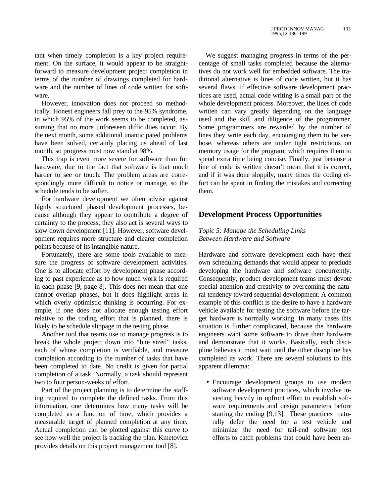tant when timely completion is a key project requirement. On the surface, it would appear to be straightforward to measure development project completion in terms of the number of drawings completed for hardware and the number of lines of code written for software.

However, innovation does not proceed so methodically. Honest engineers fall prey to the 95% syndrome, in which 95% of the work seems to be completed, assuming that no more unforeseen difficulties occur. By the next month, some additional unanticipated problems have been solved, certainly placing us ahead of last month, so progress must now stand at 98%.

This trap is even more severe for software than for hardware, due to the fact that software is that much harder to see or touch. The problem areas are correspondingly more difficult to notice or manage, so the schedule tends to be softer.

For hardware development we often advise against highly structured phased development processes, because although they appear to contribute a degree of certainty to the process, they also act is several ways to slow down development [11]. However, software development requires more structure and clearer completion points because of its intangible nature.

Fortunately, there are some tools available to measure the progress of software development activities. One is to allocate effort by development phase according to past experience as to how much work is required in each phase [9, page 8]. This does not mean that one cannot overlap phases, but it does highlight areas in which overly optimistic thinking is occurring. For example, if one does not allocate enough testing effort relative to the coding effort that is planned, there is likely to be schedule slippage in the testing phase.

Another tool that teams use to manage progress is to break the whole project down into "bite sized" tasks, each of whose completion is verifiable, and measure completion according to the number of tasks that have been completed to date. No credit is given for partial completion of a task. Normally, a task should represent two to four person-weeks of effort.

Part of the project planning is to determine the staffing required to complete the defined tasks. From this information, one determines how many tasks will be completed as a function of time, which provides a measurable target of planned completion at any time. Actual completion can be plotted against this curve to see how well the project is tracking the plan. Kmetovicz provides details on this project management tool [8].

We suggest managing progress in terms of the percentage of small tasks completed because the alternatives do not work well for embedded software. The traditional alternative is lines of code written, but it has several flaws. If effective software development practices are used, actual code writing is a small part of the whole development process. Moreover, the lines of code written can vary greatly depending on the language used and the skill and diligence of the programmer. Some programmers are rewarded by the number of lines they write each day, encouraging them to be verbose, whereas others are under tight restrictions on memory usage for the program, which requires them to spend extra time being concise. Finally, just because a line of code is written doesn't mean that it is correct, and if it was done sloppily, many times the coding effort can be spent in finding the mistakes and correcting them.

# **Development Process Opportunities**

*Topic 5: Manage the Scheduling Links Between Hardware and Software*

Hardware and software development each have their own scheduling demands that would appear to preclude developing the hardware and software concurrently. Consequently, product development teams must devote special attention and creativity to overcoming the natural tendency toward sequential development. A common example of this conflict is the desire to have a hardware vehicle available for testing the software before the target hardware is normally working. In many cases this situation is further complicated, because the hardware engineers want some software to drive their hardware and demonstrate that it works. Basically, each discipline believes it must wait until the other discipline has completed its work. There are several solutions to this apparent dilemma:

• Encourage development groups to use modern software development practices, which involve investing heavily in upfront effort to establish software requirements and design parameters before starting the coding [9,13]. These practices naturally defer the need for a test vehicle and minimize the need for tail-end software test efforts to catch problems that could have been an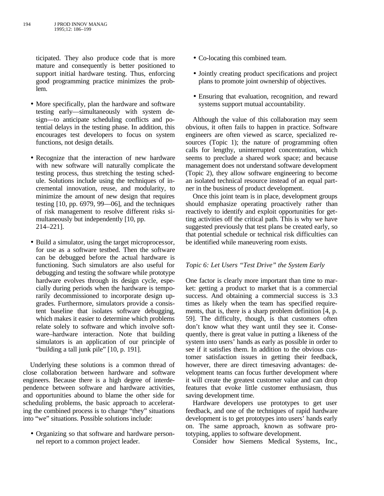ticipated. They also produce code that is more mature and consequently is better positioned to support initial hardware testing. Thus, enforcing good programming practice minimizes the problem.

- More specifically, plan the hardware and software testing early—simultaneously with system design—to anticipate scheduling conflicts and potential delays in the testing phase. In addition, this encourages test developers to focus on system functions, not design details.
- Recognize that the interaction of new hardware with new software will naturally complicate the testing process, thus stretching the testing schedule. Solutions include using the techniques of incremental innovation, reuse, and modularity, to minimize the amount of new design that requires testing  $[10, pp. 6979, 99—06]$ , and the techniques of risk management to resolve different risks simultaneously but independently [10, pp. 214–221].
- Build a simulator, using the target microprocessor, for use as a software testbed. Then the software can be debugged before the actual hardware is functioning. Such simulators are also useful for debugging and testing the software while prototype hardware evolves through its design cycle, especially during periods when the hardware is temporarily decommissioned to incorporate design upgrades. Furthermore, simulators provide a consistent baseline that isolates software debugging, which makes it easier to determine which problems relate solely to software and which involve software–hardware interaction. Note that building simulators is an application of our principle of "building a tall junk pile" [10, p. 191].

Underlying these solutions is a common thread of close collaboration between hardware and software engineers. Because there is a high degree of interdependence between software and hardware activities, and opportunities abound to blame the other side for scheduling problems, the basic approach to accelerating the combined process is to change "they" situations into "we" situations. Possible solutions include:

• Organizing so that software and hardware personnel report to a common project leader.

- Co-locating this combined team.
- Jointly creating product specifications and project plans to promote joint ownership of objectives.
- Ensuring that evaluation, recognition, and reward systems support mutual accountability.

Although the value of this collaboration may seem obvious, it often fails to happen in practice. Software engineers are often viewed as scarce, specialized resources (Topic 1); the nature of programming often calls for lengthy, uninterrupted concentration, which seems to preclude a shared work space; and because management does not understand software development (Topic 2), they allow software engineering to become an isolated technical resource instead of an equal partner in the business of product development.

Once this joint team is in place, development groups should emphasize operating proactively rather than reactively to identify and exploit opportunities for getting activities off the critical path. This is why we have suggested previously that test plans be created early, so that potential schedule or technical risk difficulties can be identified while maneuvering room exists.

## *Topic 6: Let Users "Test Drive" the System Early*

One factor is clearly more important than time to market: getting a product to market that is a commercial success. And obtaining a commercial success is 3.3 times as likely when the team has specified requirements, that is, there is a sharp problem definition [4, p. 59]. The difficulty, though, is that customers often don't know what they want until they see it. Consequently, there is great value in putting a likeness of the system into users' hands as early as possible in order to see if it satisfies them. In addition to the obvious customer satisfaction issues in getting their feedback, however, there are direct timesaving advantages: development teams can focus further development where it will create the greatest customer value and can drop features that evoke little customer enthusiasm, thus saving development time.

Hardware developers use prototypes to get user feedback, and one of the techniques of rapid hardware development is to get prototypes into users' hands early on. The same approach, known as software prototyping, applies to software development.

Consider how Siemens Medical Systems, Inc.,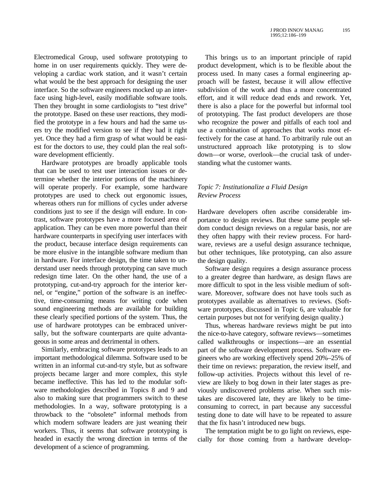Electromedical Group, used software prototyping to home in on user requirements quickly. They were developing a cardiac work station, and it wasn't certain what would be the best approach for designing the user interface. So the software engineers mocked up an interface using high-level, easily modifiable software tools. Then they brought in some cardiologists to "test drive" the prototype. Based on these user reactions, they modified the prototype in a few hours and had the same users try the modified version to see if they had it right yet. Once they had a firm grasp of what would be easiest for the doctors to use, they could plan the real software development efficiently.

Hardware prototypes are broadly applicable tools that can be used to test user interaction issues or determine whether the interior portions of the machinery will operate properly. For example, some hardware prototypes are used to check out ergonomic issues, whereas others run for millions of cycles under adverse conditions just to see if the design will endure. In contrast, software prototypes have a more focused area of application. They can be even more powerful than their hardware counterparts in specifying user interfaces with the product, because interface design requirements can be more elusive in the intangible software medium than in hardware. For interface design, the time taken to understand user needs through prototyping can save much redesign time later. On the other hand, the use of a prototyping, cut-and-try approach for the interior kernel, or "engine," portion of the software is an ineffective, time-consuming means for writing code when sound engineering methods are available for building these clearly specified portions of the system. Thus, the use of hardware prototypes can be embraced universally, but the software counterparts are quite advantageous in some areas and detrimental in others.

Similarly, embracing software prototypes leads to an important methodological dilemma. Software used to be written in an informal cut-and-try style, but as software projects became larger and more complex, this style became ineffective. This has led to the modular software methodologies described in Topics 8 and 9 and also to making sure that programmers switch to these methodologies. In a way, software prototyping is a throwback to the "obsolete" informal methods from which modern software leaders are just weaning their workers. Thus, it seems that software prototyping is headed in exactly the wrong direction in terms of the development of a science of programming.

This brings us to an important principle of rapid product development, which is to be flexible about the process used. In many cases a formal engineering approach will be fastest, because it will allow effective subdivision of the work and thus a more concentrated effort, and it will reduce dead ends and rework. Yet, there is also a place for the powerful but informal tool of prototyping. The fast product developers are those who recognize the power and pitfalls of each tool and use a combination of approaches that works most effectively for the case at hand. To arbitrarily rule out an unstructured approach like prototyping is to slow down—or worse, overlook—the crucial task of understanding what the customer wants.

## *Topic 7: Institutionalize a Fluid Design Review Process*

Hardware developers often ascribe considerable importance to design reviews. But these same people seldom conduct design reviews on a regular basis, nor are they often happy with their review process. For hardware, reviews are a useful design assurance technique, but other techniques, like prototyping, can also assure the design quality.

Software design requires a design assurance process to a greater degree than hardware, as design flaws are more difficult to spot in the less visible medium of software. Moreover, software does not have tools such as prototypes available as alternatives to reviews. (Software prototypes, discussed in Topic 6, are valuable for certain purposes but not for verifying design quality.)

Thus, whereas hardware reviews might be put into the nice-to-have category, software reviews—sometimes called walkthroughs or inspections—are an essential part of the software development process. Software engineers who are working effectively spend 20%–25% of their time on reviews: preparation, the review itself, and follow-up activities. Projects without this level of review are likely to bog down in their later stages as previously undiscovered problems arise. When such mistakes are discovered late, they are likely to be timeconsuming to correct, in part because any successful testing done to date will have to be repeated to assure that the fix hasn't introduced new bugs.

The temptation might be to go light on reviews, especially for those coming from a hardware develop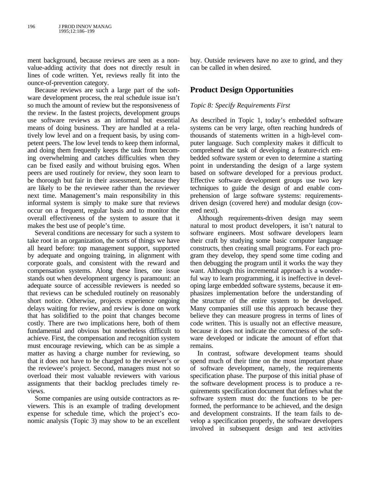ment background, because reviews are seen as a nonvalue-adding activity that does not directly result in lines of code written. Yet, reviews really fit into the ounce-of-prevention category.

Because reviews are such a large part of the software development process, the real schedule issue isn't so much the amount of review but the responsiveness of the review. In the fastest projects, development groups use software reviews as an informal but essential means of doing business. They are handled at a relatively low level and on a frequent basis, by using competent peers. The low level tends to keep them informal, and doing them frequently keeps the task from becoming overwhelming and catches difficulties when they can be fixed easily and without bruising egos. When peers are used routinely for review, they soon learn to be thorough but fair in their assessment, because they are likely to be the reviewee rather than the reviewer next time. Management's main responsibility in this informal system is simply to make sure that reviews occur on a frequent, regular basis and to monitor the overall effectiveness of the system to assure that it makes the best use of people's time.

Several conditions are necessary for such a system to take root in an organization, the sorts of things we have all heard before: top management support, supported by adequate and ongoing training, in alignment with corporate goals, and consistent with the reward and compensation systems. Along these lines, one issue stands out when development urgency is paramount: an adequate source of accessible reviewers is needed so that reviews can be scheduled routinely on reasonably short notice. Otherwise, projects experience ongoing delays waiting for review, and review is done on work that has solidified to the point that changes become costly. There are two implications here, both of them fundamental and obvious but nonetheless difficult to achieve. First, the compensation and recognition system must encourage reviewing, which can be as simple a matter as having a charge number for reviewing, so that it does not have to be charged to the reviewer's or the reviewee's project. Second, managers must not so overload their most valuable reviewers with various assignments that their backlog precludes timely reviews.

Some companies are using outside contractors as reviewers. This is an example of trading development expense for schedule time, which the project's economic analysis (Topic 3) may show to be an excellent

buy. Outside reviewers have no axe to grind, and they can be called in when desired.

# **Product Design Opportunities**

## *Topic 8: Specify Requirements First*

As described in Topic 1, today's embedded software systems can be very large, often reaching hundreds of thousands of statements written in a high-level computer language. Such complexity makes it difficult to comprehend the task of developing a feature-rich embedded software system or even to determine a starting point in understanding the design of a large system based on software developed for a previous product. Effective software development groups use two key techniques to guide the design of and enable comprehension of large software systems: requirementsdriven design (covered here) and modular design (covered next).

Although requirements-driven design may seem natural to most product developers, it isn't natural to software engineers. Most software developers learn their craft by studying some basic computer language constructs, then creating small programs. For each program they develop, they spend some time coding and then debugging the program until it works the way they want. Although this incremental approach is a wonderful way to learn programming, it is ineffective in developing large embedded software systems, because it emphasizes implementation before the understanding of the structure of the entire system to be developed. Many companies still use this approach because they believe they can measure progress in terms of lines of code written. This is usually not an effective measure, because it does not indicate the correctness of the software developed or indicate the amount of effort that remains.

In contrast, software development teams should spend much of their time on the most important phase of software development, namely, the requirements specification phase. The purpose of this initial phase of the software development process is to produce a requirements specification document that defines what the software system must do: the functions to be performed, the performance to be achieved, and the design and development constraints. If the team fails to develop a specification properly, the software developers involved in subsequent design and test activities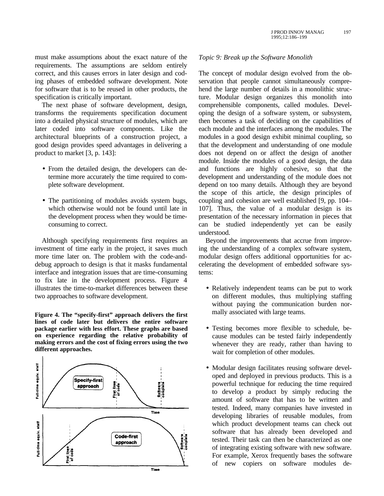must make assumptions about the exact nature of the requirements. The assumptions are seldom entirely correct, and this causes errors in later design and coding phases of embedded software development. Note for software that is to be reused in other products, the specification is critically important.

The next phase of software development, design, transforms the requirements specification document into a detailed physical structure of modules, which are later coded into software components. Like the architectural blueprints of a construction project, a good design provides speed advantages in delivering a product to market [3, p. 143]:

- From the detailed design, the developers can determine more accurately the time required to complete software development.
- The partitioning of modules avoids system bugs, which otherwise would not be found until late in the development process when they would be timeconsuming to correct.

Although specifying requirements first requires an investment of time early in the project, it saves much more time later on. The problem with the code-anddebug approach to design is that it masks fundamental interface and integration issues that are time-consuming to fix late in the development process. Figure 4 illustrates the time-to-market differences between these two approaches to software development.

**Figure 4. The "specify-first" approach delivers the first lines of code later but delivers the entire software package earlier with less effort. These graphs are based on experience regarding the relative probability of making errors and the cost of fixing errors using the two different approaches.**



## *Topic 9: Break up the Software Monolith*

The concept of modular design evolved from the observation that people cannot simultaneously comprehend the large number of details in a monolithic structure. Modular design organizes this monolith into comprehensible components, called modules. Developing the design of a software system, or subsystem, then becomes a task of deciding on the capabilities of each module and the interfaces among the modules. The modules in a good design exhibit minimal coupling, so that the development and understanding of one module does not depend on or affect the design of another module. Inside the modules of a good design, the data and functions are highly cohesive, so that the development and understanding of the module does not depend on too many details. Although they are beyond the scope of this article, the design principles of coupling and cohesion are well established [9, pp. 104– 107]. Thus, the value of a modular design is its presentation of the necessary information in pieces that can be studied independently yet can be easily understood.

Beyond the improvements that accrue from improving the understanding of a complex software system, modular design offers additional opportunities for accelerating the development of embedded software systems:

- Relatively independent teams can be put to work on different modules, thus multiplying staffing without paying the communication burden normally associated with large teams.
- Testing becomes more flexible to schedule, because modules can be tested fairly independently whenever they are ready, rather than having to wait for completion of other modules.
- Modular design facilitates reusing software developed and deployed in previous products. This is a powerful technique for reducing the time required to develop a product by simply reducing the amount of software that has to be written and tested. Indeed, many companies have invested in developing libraries of reusable modules, from which product development teams can check out software that has already been developed and tested. Their task can then be characterized as one of integrating existing software with new software. For example, Xerox frequently bases the software of new copiers on software modules de-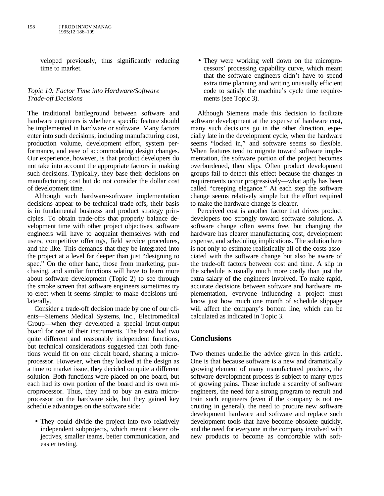veloped previously, thus significantly reducing time to market.

## *Topic 10: Factor Time into Hardware/Software Trade-off Decisions*

The traditional battleground between software and hardware engineers is whether a specific feature should be implemented in hardware or software. Many factors enter into such decisions, including manufacturing cost, production volume, development effort, system performance, and ease of accommodating design changes. Our experience, however, is that product developers do not take into account the appropriate factors in making such decisions. Typically, they base their decisions on manufacturing cost but do not consider the dollar cost of development time.

Although such hardware-software implementation decisions appear to be technical trade-offs, their basis is in fundamental business and product strategy principles. To obtain trade-offs that properly balance development time with other project objectives, software engineers will have to acquaint themselves with end users, competitive offerings, field service procedures, and the like. This demands that they be integrated into the project at a level far deeper than just "designing to spec." On the other hand, those from marketing, purchasing, and similar functions will have to learn more about software development (Topic 2) to see through the smoke screen that software engineers sometimes try to erect when it seems simpler to make decisions unilaterally.

Consider a trade-off decision made by one of our clients—Siemens Medical Systems, Inc., Electromedical Group—when they developed a special input-output board for one of their instruments. The board had two quite different and reasonably independent functions, but technical considerations suggested that both functions would fit on one circuit board, sharing a microprocessor. However, when they looked at the design as a time to market issue, they decided on quite a different solution. Both functions were placed on one board, but each had its own portion of the board and its own microprocessor. Thus, they had to buy an extra microprocessor on the hardware side, but they gained key schedule advantages on the software side:

• They could divide the project into two relatively independent subprojects, which meant clearer objectives, smaller teams, better communication, and easier testing.

• They were working well down on the microprocessors' processing capability curve, which meant that the software engineers didn't have to spend extra time planning and writing unusually efficient code to satisfy the machine's cycle time requirements (see Topic 3).

Although Siemens made this decision to facilitate software development at the expense of hardware cost, many such decisions go in the other direction, especially late in the development cycle, when the hardware seems "locked in," and software seems so flexible. When features tend to migrate toward software implementation, the software portion of the project becomes overburdened, then slips. Often product development groups fail to detect this effect because the changes in requirements occur progressively—what aptly has been called "creeping elegance." At each step the software change seems relatively simple but the effort required to make the hardware change is clearer.

Perceived cost is another factor that drives product developers too strongly toward software solutions. A software change often seems free, but changing the hardware has clearer manufacturing cost, development expense, and scheduling implications. The solution here is not only to estimate realistically all of the costs associated with the software change but also be aware of the trade-off factors between cost and time. A slip in the schedule is usually much more costly than just the extra salary of the engineers involved. To make rapid, accurate decisions between software and hardware implementation, everyone influencing a project must know just how much one month of schedule slippage will affect the company's bottom line, which can be calculated as indicated in Topic 3.

# **Conclusions**

Two themes underlie the advice given in this article. One is that because software is a new and dramatically growing element of many manufactured products, the software development process is subject to many types of growing pains. These include a scarcity of software engineers, the need for a strong program to recruit and train such engineers (even if the company is not recruiting in general), the need to procure new software development hardware and software and replace such development tools that have become obsolete quickly, and the need for everyone in the company involved with new products to become as comfortable with soft